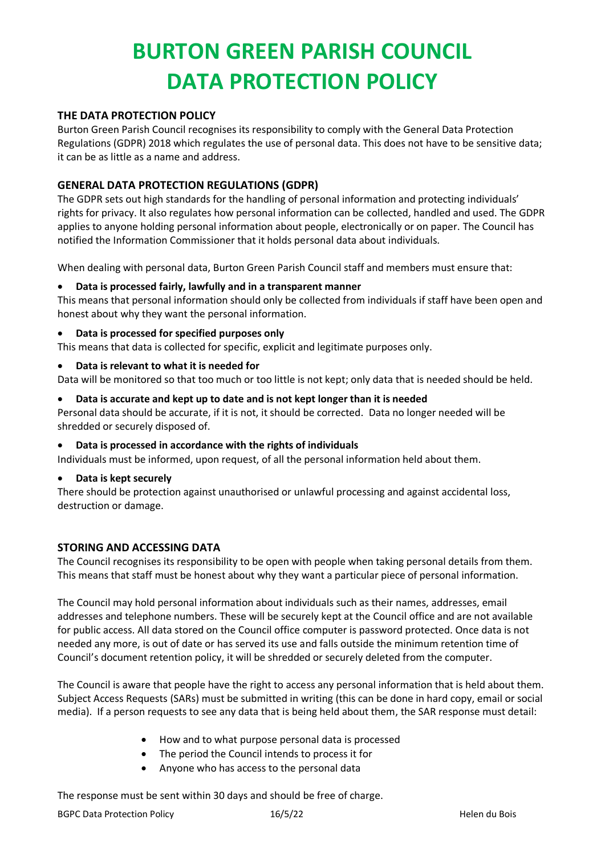# **BURTON GREEN PARISH COUNCIL DATA PROTECTION POLICY**

## **THE DATA PROTECTION POLICY**

Burton Green Parish Council recognises its responsibility to comply with the General Data Protection Regulations (GDPR) 2018 which regulates the use of personal data. This does not have to be sensitive data; it can be as little as a name and address.

## **GENERAL DATA PROTECTION REGULATIONS (GDPR)**

The GDPR sets out high standards for the handling of personal information and protecting individuals' rights for privacy. It also regulates how personal information can be collected, handled and used. The GDPR applies to anyone holding personal information about people, electronically or on paper. The Council has notified the Information Commissioner that it holds personal data about individuals.

When dealing with personal data, Burton Green Parish Council staff and members must ensure that:

### • **Data is processed fairly, lawfully and in a transparent manner**

This means that personal information should only be collected from individuals if staff have been open and honest about why they want the personal information.

### • **Data is processed for specified purposes only**

This means that data is collected for specific, explicit and legitimate purposes only.

• **Data is relevant to what it is needed for**

Data will be monitored so that too much or too little is not kept; only data that is needed should be held.

• **Data is accurate and kept up to date and is not kept longer than it is needed**

Personal data should be accurate, if it is not, it should be corrected. Data no longer needed will be shredded or securely disposed of.

#### • **Data is processed in accordance with the rights of individuals**

Individuals must be informed, upon request, of all the personal information held about them.

#### • **Data is kept securely**

There should be protection against unauthorised or unlawful processing and against accidental loss, destruction or damage.

## **STORING AND ACCESSING DATA**

The Council recognises its responsibility to be open with people when taking personal details from them. This means that staff must be honest about why they want a particular piece of personal information.

The Council may hold personal information about individuals such as their names, addresses, email addresses and telephone numbers. These will be securely kept at the Council office and are not available for public access. All data stored on the Council office computer is password protected. Once data is not needed any more, is out of date or has served its use and falls outside the minimum retention time of Council's document retention policy, it will be shredded or securely deleted from the computer.

The Council is aware that people have the right to access any personal information that is held about them. Subject Access Requests (SARs) must be submitted in writing (this can be done in hard copy, email or social media). If a person requests to see any data that is being held about them, the SAR response must detail:

- How and to what purpose personal data is processed
- The period the Council intends to process it for
- Anyone who has access to the personal data

The response must be sent within 30 days and should be free of charge.